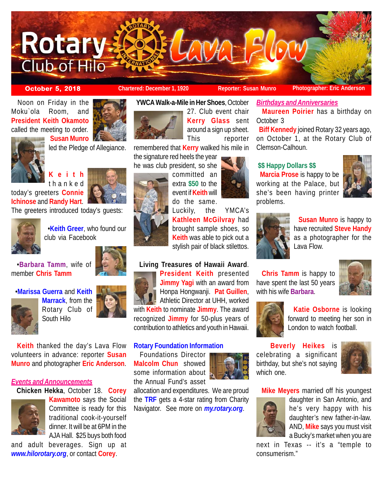

**October 5, 2018 Chartered: December 1, 1920 Reporter: Susan Munro Photographer: Eric Anderson** 

**Maureen Poirier** has a birthday on

 **Biff Kennedy** joined Rotary 32 years ago, on October 1, at the Rotary Club of

 Noon on Friday in the Moku`ola Room, and **President Keith Okamoto** called the meeting to order.





 **Susan Munro** led the Pledge of Allegiance.

**Keith** thanked

today's greeters **Connie Ichinose** and **Randy Hart**.

The greeters introduced today's guests:



 •**Keith Greer**, who found our club via Facebook



•**Marissa Guerra** and **Keith**



**Marrack**, from the Rotary Club of South Hilo



 **Keith** thanked the day's Lava Flow volunteers in advance: reporter **Susan Munro** and photographer **Eric Anderson**.

## *Events and Announcements*

**Chicken Hekka**, October 18. **Corey**



**Kawamoto** says the Social Committee is ready for this traditional cook-it-yourself dinner. It will be at 6PM in the AJA Hall. \$25 buys both food

and adult beverages. Sign up at *www.hilorotary.org*, or contact **Corey**.





27. Club event chair **Kerry Glass** sent around a sign up sheet. This reporter

remembered that **Kerry** walked his mile in the signature red heels the year

he was club president, so she

committed an extra **\$50** to the event if **Keith** will do the same.

Luckily, the YMCA's **Kathleen McGilvray** had brought sample shoes, so **Keith** was able to pick out a stylish pair of black stilettos.

## **Living Treasures of Hawaii Award**.



**President Keith** presented **Jimmy Yagi** with an award from Honpa Hongwanji. **Pat Guillen**, Athletic Director at UHH, worked with **Keith** to nominate **Jimmy**. The award recognized **Jimmy** for 50-plus years of contribution to athletics and youth in Hawaii.

## **Rotary Foundation Information**

 Foundations Director **Malcolm Chun** showed some information about the Annual Fund's asset





Clemson-Calhoun.

*Birthdays and Anniversaries*

# **\$\$ Happy Dollars \$\$**

 **Marcia Prose** is happy to be working at the Palace, but she's been having printer problems.





October 3

 **Susan Munro** is happy to have recruited **Steve Handy** as a photographer for the Lava Flow.

 **Chris Tamm** is happy to have spent the last 50 years with his wife **Barbara**.





 **Katie Osborne** is looking forward to meeting her son in London to watch football.

 **Beverly Heikes** is celebrating a significant birthday, but she's not saying which one.



**Mike Meyers** married off his youngest



daughter in San Antonio, and he's very happy with his daughter's new father-in-law. AND, **Mike** says you must visit a Bucky's market when you are

next in Texas -- it's a "temple to consumerism."